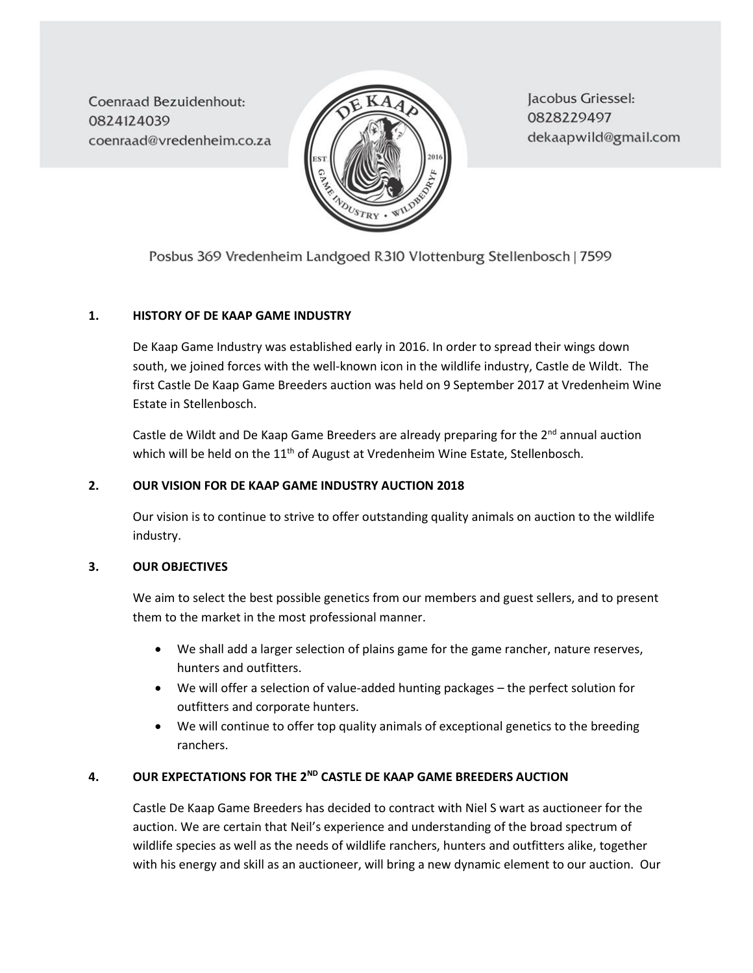**Coenraad Bezuidenhout:** 0824124039 coenraad@vredenheim.co.za



Jacobus Griessel: 0828229497 dekaapwild@gmail.com

Posbus 369 Vredenheim Landgoed R310 Vlottenburg Stellenbosch | 7599

## **1. HISTORY OF DE KAAP GAME INDUSTRY**

De Kaap Game Industry was established early in 2016. In order to spread their wings down south, we joined forces with the well-known icon in the wildlife industry, Castle de Wildt. The first Castle De Kaap Game Breeders auction was held on 9 September 2017 at Vredenheim Wine Estate in Stellenbosch.

Castle de Wildt and De Kaap Game Breeders are already preparing for the 2<sup>nd</sup> annual auction which will be held on the 11<sup>th</sup> of August at Vredenheim Wine Estate, Stellenbosch.

## **2. OUR VISION FOR DE KAAP GAME INDUSTRY AUCTION 2018**

Our vision is to continue to strive to offer outstanding quality animals on auction to the wildlife industry.

## **3. OUR OBJECTIVES**

We aim to select the best possible genetics from our members and guest sellers, and to present them to the market in the most professional manner.

- We shall add a larger selection of plains game for the game rancher, nature reserves, hunters and outfitters.
- We will offer a selection of value-added hunting packages the perfect solution for outfitters and corporate hunters.
- We will continue to offer top quality animals of exceptional genetics to the breeding ranchers.

# **4. OUR EXPECTATIONS FOR THE 2 ND CASTLE DE KAAP GAME BREEDERS AUCTION**

Castle De Kaap Game Breeders has decided to contract with Niel S wart as auctioneer for the auction. We are certain that Neil's experience and understanding of the broad spectrum of wildlife species as well as the needs of wildlife ranchers, hunters and outfitters alike, together with his energy and skill as an auctioneer, will bring a new dynamic element to our auction. Our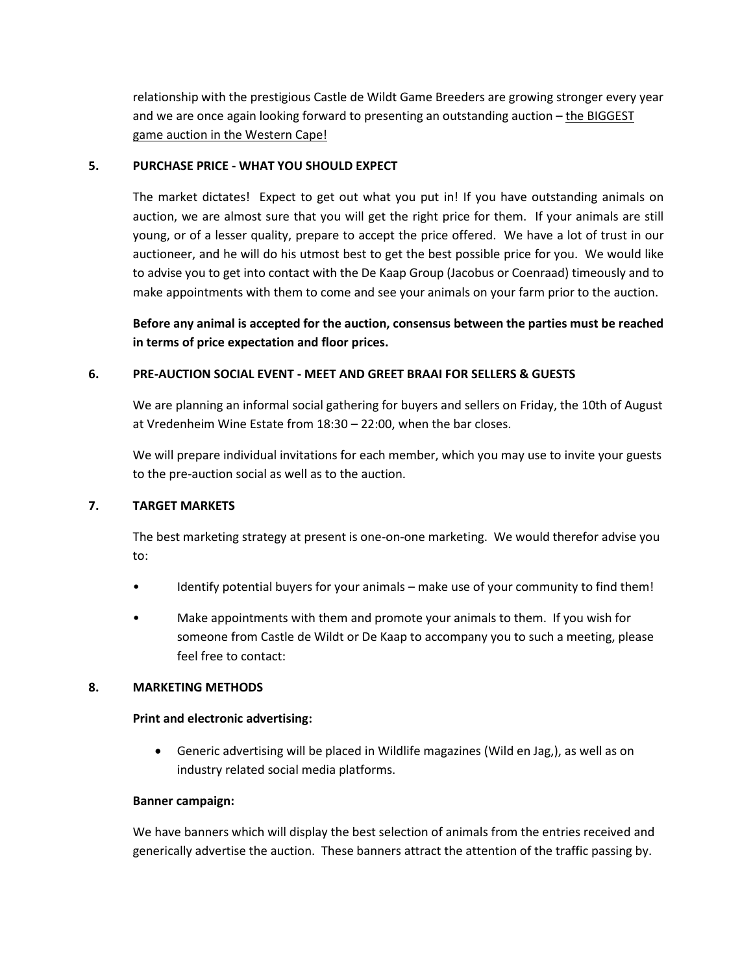relationship with the prestigious Castle de Wildt Game Breeders are growing stronger every year and we are once again looking forward to presenting an outstanding auction – the BIGGEST game auction in the Western Cape!

### **5. PURCHASE PRICE - WHAT YOU SHOULD EXPECT**

The market dictates! Expect to get out what you put in! If you have outstanding animals on auction, we are almost sure that you will get the right price for them. If your animals are still young, or of a lesser quality, prepare to accept the price offered. We have a lot of trust in our auctioneer, and he will do his utmost best to get the best possible price for you. We would like to advise you to get into contact with the De Kaap Group (Jacobus or Coenraad) timeously and to make appointments with them to come and see your animals on your farm prior to the auction.

**Before any animal is accepted for the auction, consensus between the parties must be reached in terms of price expectation and floor prices.**

### **6. PRE-AUCTION SOCIAL EVENT - MEET AND GREET BRAAI FOR SELLERS & GUESTS**

We are planning an informal social gathering for buyers and sellers on Friday, the 10th of August at Vredenheim Wine Estate from 18:30 – 22:00, when the bar closes.

We will prepare individual invitations for each member, which you may use to invite your guests to the pre-auction social as well as to the auction.

### **7. TARGET MARKETS**

The best marketing strategy at present is one-on-one marketing. We would therefor advise you to:

- Identify potential buyers for your animals make use of your community to find them!
- Make appointments with them and promote your animals to them. If you wish for someone from Castle de Wildt or De Kaap to accompany you to such a meeting, please feel free to contact:

#### **8. MARKETING METHODS**

#### **Print and electronic advertising:**

• Generic advertising will be placed in Wildlife magazines (Wild en Jag,), as well as on industry related social media platforms.

#### **Banner campaign:**

We have banners which will display the best selection of animals from the entries received and generically advertise the auction. These banners attract the attention of the traffic passing by.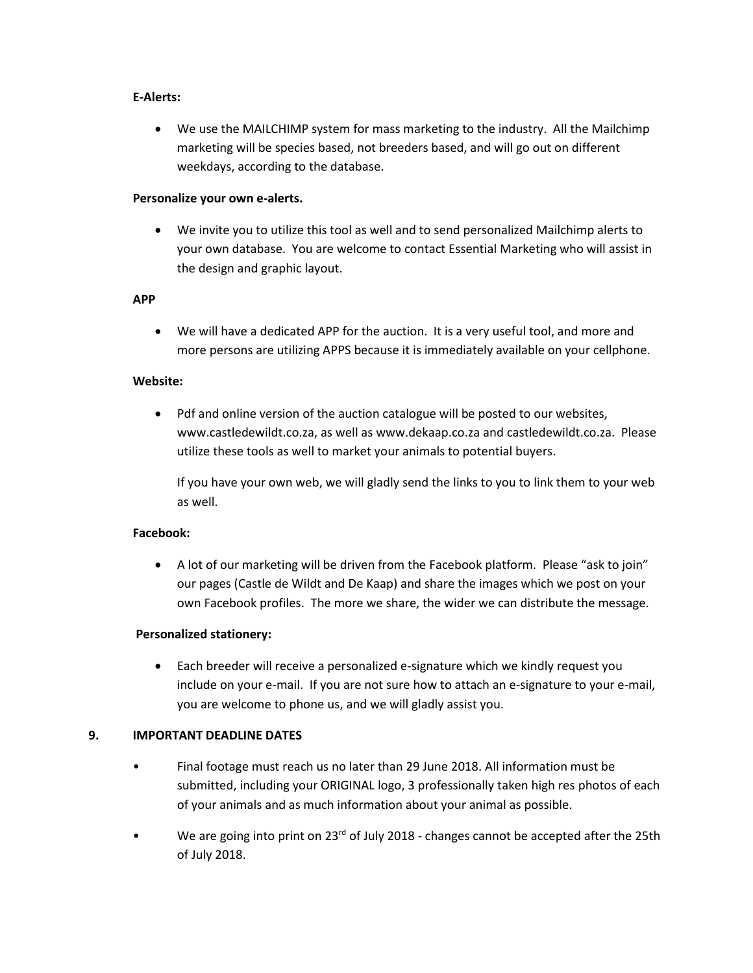### **E-Alerts:**

• We use the MAILCHIMP system for mass marketing to the industry. All the Mailchimp marketing will be species based, not breeders based, and will go out on different weekdays, according to the database.

### **Personalize your own e-alerts.**

• We invite you to utilize this tool as well and to send personalized Mailchimp alerts to your own database. You are welcome to contact Essential Marketing who will assist in the design and graphic layout.

### **APP**

• We will have a dedicated APP for the auction. It is a very useful tool, and more and more persons are utilizing APPS because it is immediately available on your cellphone.

### **Website:**

• Pdf and online version of the auction catalogue will be posted to our websites, www.castledewildt.co.za, as well as www.dekaap.co.za and castledewildt.co.za. Please utilize these tools as well to market your animals to potential buyers.

If you have your own web, we will gladly send the links to you to link them to your web as well.

## **Facebook:**

• A lot of our marketing will be driven from the Facebook platform. Please "ask to join" our pages (Castle de Wildt and De Kaap) and share the images which we post on your own Facebook profiles. The more we share, the wider we can distribute the message.

## **Personalized stationery:**

• Each breeder will receive a personalized e-signature which we kindly request you include on your e-mail. If you are not sure how to attach an e-signature to your e-mail, you are welcome to phone us, and we will gladly assist you.

## **9. IMPORTANT DEADLINE DATES**

- Final footage must reach us no later than 29 June 2018. All information must be submitted, including your ORIGINAL logo, 3 professionally taken high res photos of each of your animals and as much information about your animal as possible.
- We are going into print on 23<sup>rd</sup> of July 2018 changes cannot be accepted after the 25th of July 2018.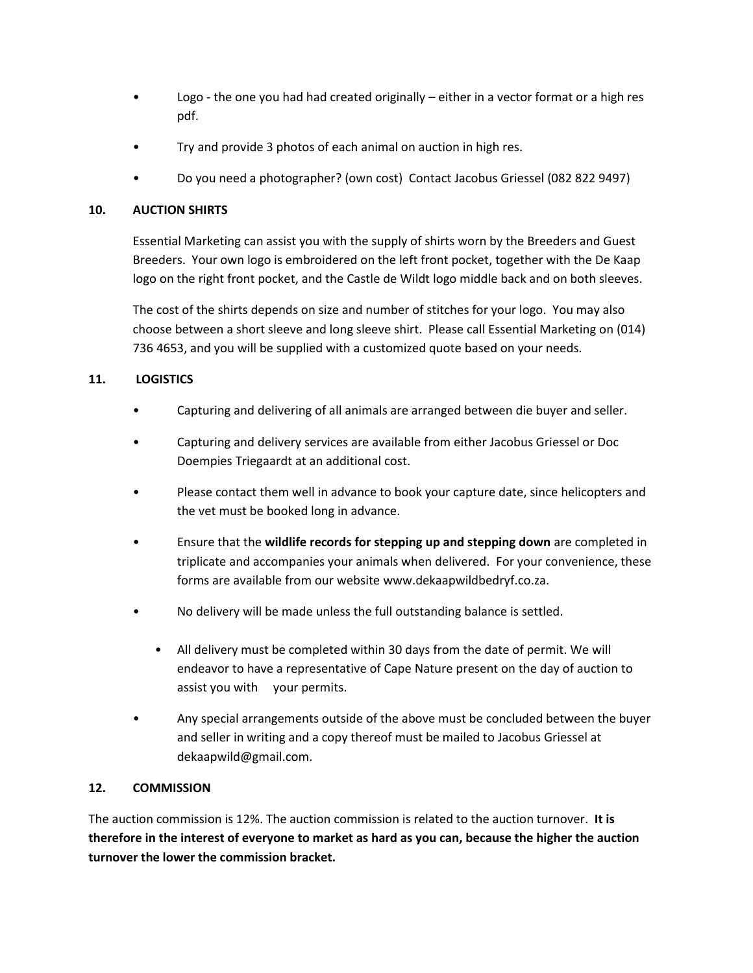- Logo the one you had had created originally  $-$  either in a vector format or a high res pdf.
- Try and provide 3 photos of each animal on auction in high res.
- Do you need a photographer? (own cost) Contact Jacobus Griessel (082 822 9497)

# **10. AUCTION SHIRTS**

Essential Marketing can assist you with the supply of shirts worn by the Breeders and Guest Breeders. Your own logo is embroidered on the left front pocket, together with the De Kaap logo on the right front pocket, and the Castle de Wildt logo middle back and on both sleeves.

The cost of the shirts depends on size and number of stitches for your logo. You may also choose between a short sleeve and long sleeve shirt. Please call Essential Marketing on (014) 736 4653, and you will be supplied with a customized quote based on your needs.

# **11. LOGISTICS**

- Capturing and delivering of all animals are arranged between die buyer and seller.
- Capturing and delivery services are available from either Jacobus Griessel or Doc Doempies Triegaardt at an additional cost.
- Please contact them well in advance to book your capture date, since helicopters and the vet must be booked long in advance.
- Ensure that the **wildlife records for stepping up and stepping down** are completed in triplicate and accompanies your animals when delivered. For your convenience, these forms are available from our website www.dekaapwildbedryf.co.za.
- No delivery will be made unless the full outstanding balance is settled.
	- All delivery must be completed within 30 days from the date of permit. We will endeavor to have a representative of Cape Nature present on the day of auction to assist you with your permits.
- Any special arrangements outside of the above must be concluded between the buyer and seller in writing and a copy thereof must be mailed to Jacobus Griessel at [dekaapwild@gmail.com.](mailto:dekaapwild@gmail.com)

# **12. COMMISSION**

The auction commission is 12%. The auction commission is related to the auction turnover. **It is therefore in the interest of everyone to market as hard as you can, because the higher the auction turnover the lower the commission bracket.**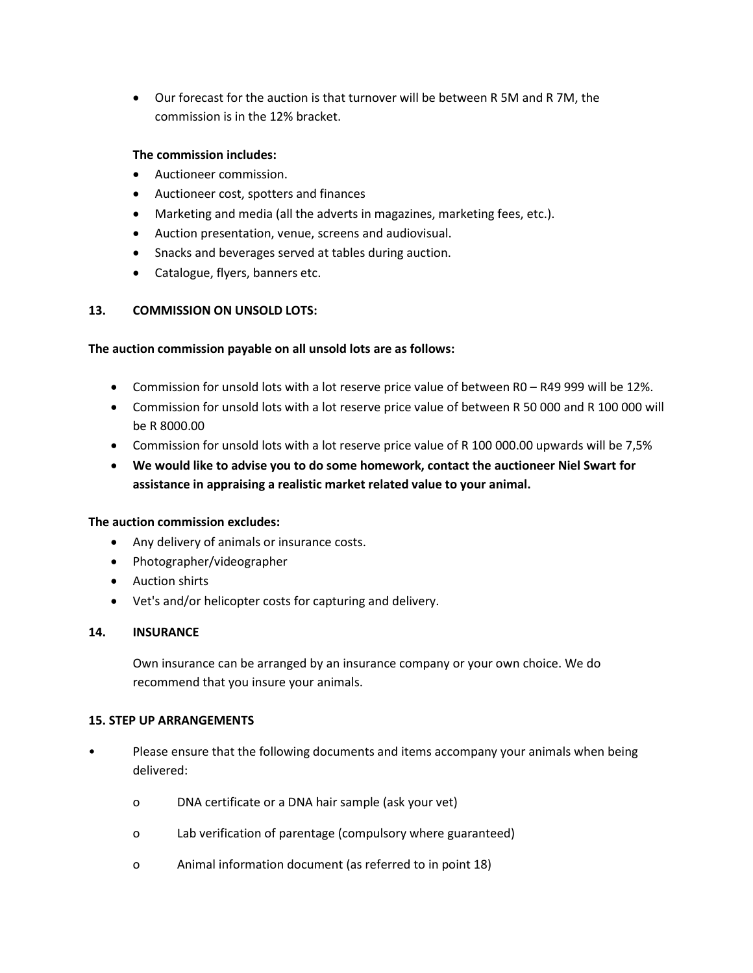• Our forecast for the auction is that turnover will be between R 5M and R 7M, the commission is in the 12% bracket.

## **The commission includes:**

- Auctioneer commission.
- Auctioneer cost, spotters and finances
- Marketing and media (all the adverts in magazines, marketing fees, etc.).
- Auction presentation, venue, screens and audiovisual.
- Snacks and beverages served at tables during auction.
- Catalogue, flyers, banners etc.

## **13. COMMISSION ON UNSOLD LOTS:**

## **The auction commission payable on all unsold lots are as follows:**

- Commission for unsold lots with a lot reserve price value of between R0 R49 999 will be 12%.
- Commission for unsold lots with a lot reserve price value of between R 50 000 and R 100 000 will be R 8000.00
- Commission for unsold lots with a lot reserve price value of R 100 000.00 upwards will be 7,5%
- **We would like to advise you to do some homework, contact the auctioneer Niel Swart for assistance in appraising a realistic market related value to your animal.**

## **The auction commission excludes:**

- Any delivery of animals or insurance costs.
- Photographer/videographer
- Auction shirts
- Vet's and/or helicopter costs for capturing and delivery.

## **14. INSURANCE**

Own insurance can be arranged by an insurance company or your own choice. We do recommend that you insure your animals.

#### **15. STEP UP ARRANGEMENTS**

- Please ensure that the following documents and items accompany your animals when being delivered:
	- o DNA certificate or a DNA hair sample (ask your vet)
	- o Lab verification of parentage (compulsory where guaranteed)
	- o Animal information document (as referred to in point 18)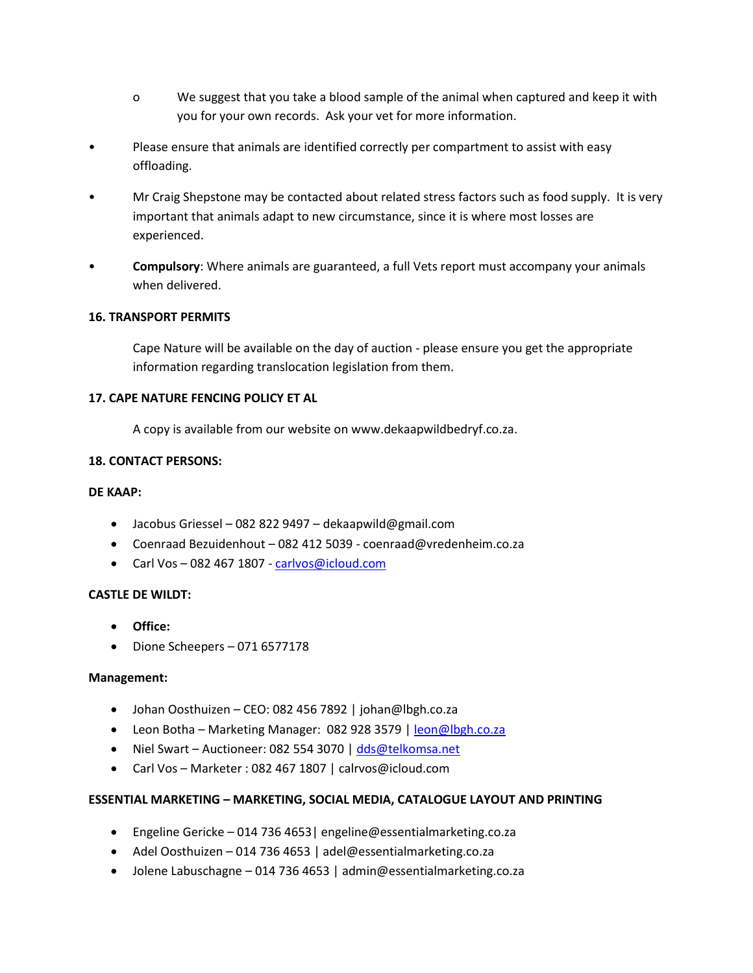- o We suggest that you take a blood sample of the animal when captured and keep it with you for your own records. Ask your vet for more information.
- Please ensure that animals are identified correctly per compartment to assist with easy offloading.
- Mr Craig Shepstone may be contacted about related stress factors such as food supply. It is very important that animals adapt to new circumstance, since it is where most losses are experienced.
- **Compulsory**: Where animals are guaranteed, a full Vets report must accompany your animals when delivered.

## **16. TRANSPORT PERMITS**

Cape Nature will be available on the day of auction - please ensure you get the appropriate information regarding translocation legislation from them.

## **17. CAPE NATURE FENCING POLICY ET AL**

A copy is available from our website on www.dekaapwildbedryf.co.za.

## **18. CONTACT PERSONS:**

## **DE KAAP:**

- Jacobus Griessel 082 822 9497 dekaapwild@gmail.com
- Coenraad Bezuidenhout 082 412 5039 coenraad@vredenheim.co.za
- Carl Vos 082 467 1807 [carlvos@icloud.com](mailto:carlvos@icloud.com)

## **CASTLE DE WILDT:**

- **Office:**
- Dione Scheepers 071 6577178

## **Management:**

- Johan Oosthuizen CEO: 082 456 7892 | johan@lbgh.co.za
- Leon Botha Marketing Manager: 082 928 3579 [| leon@lbgh.co.za](mailto:leon@lbgh.co.za)
- Niel Swart Auctioneer: 082 554 3070 | [dds@telkomsa.net](mailto:dds@telkomsa.net)
- Carl Vos Marketer : 082 467 1807 | calrvos@icloud.com

## **ESSENTIAL MARKETING – MARKETING, SOCIAL MEDIA, CATALOGUE LAYOUT AND PRINTING**

- Engeline Gericke 014 736 4653| engeline@essentialmarketing.co.za
- Adel Oosthuizen 014 736 4653 | adel@essentialmarketing.co.za
- Jolene Labuschagne 014 736 4653 | admin@essentialmarketing.co.za